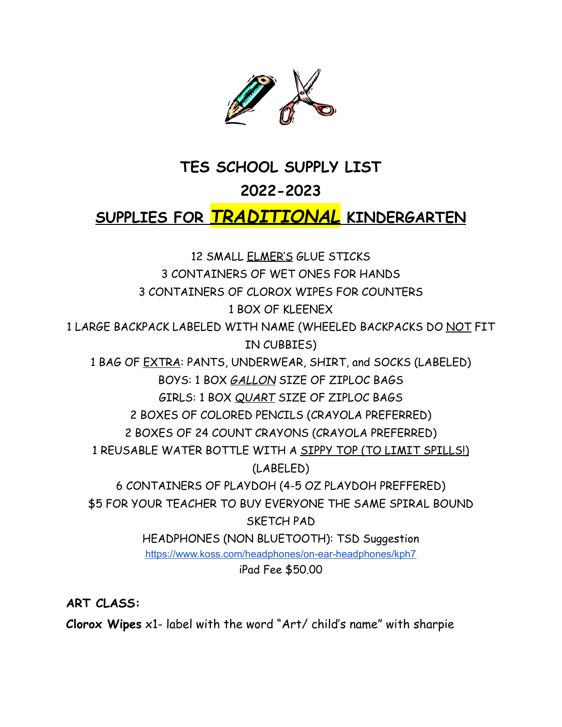

#### **TES SCHOOL SUPPLY LIST**

#### **2022-2023**

## **SUPPLIES FOR** *TRADITIONAL* **KINDERGARTEN**

12 SMALL ELMER'S GLUE STICKS 3 CONTAINERS OF WET ONES FOR HANDS 3 CONTAINERS OF CLOROX WIPES FOR COUNTERS 1 BOX OF KLEENEX 1 LARGE BACKPACK LABELED WITH NAME (WHEELED BACKPACKS DO NOT FIT IN CUBBIES) 1 BAG OF EXTRA: PANTS, UNDERWEAR, SHIRT, and SOCKS (LABELED) BOYS: 1 BOX *GALLON* SIZE OF ZIPLOC BAGS GIRLS: 1 BOX *QUART* SIZE OF ZIPLOC BAGS 2 BOXES OF COLORED PENCILS (CRAYOLA PREFERRED) 2 BOXES OF 24 COUNT CRAYONS (CRAYOLA PREFERRED) 1 REUSABLE WATER BOTTLE WITH A SIPPY TOP (TO LIMIT SPILLS!) (LABELED) 6 CONTAINERS OF PLAYDOH (4-5 OZ PLAYDOH PREFFERED) \$5 FOR YOUR TEACHER TO BUY EVERYONE THE SAME SPIRAL BOUND SKETCH PAD HEADPHONES (NON BLUETOOTH): TSD Suggestion <https://www.koss.com/headphones/on-ear-headphones/kph7> iPad Fee \$50.00

**ART CLASS:**

**Clorox Wipes** x1- label with the word "Art/ child's name" with sharpie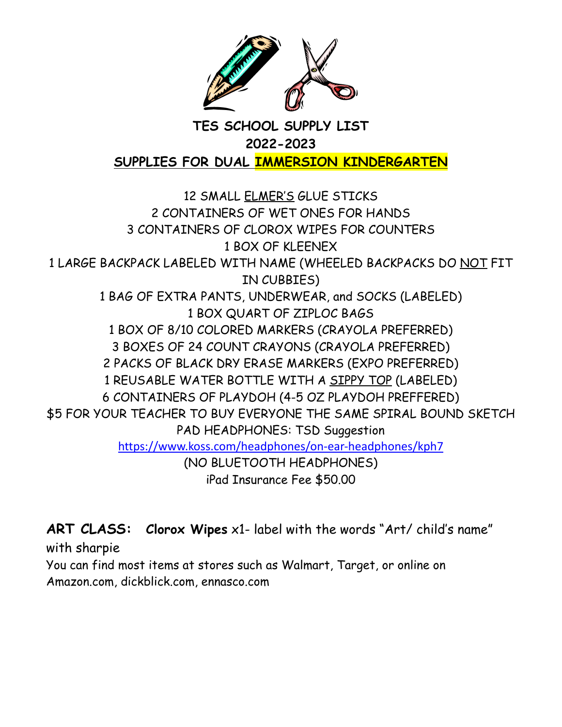

## **TES SCHOOL SUPPLY LIST 2022-2023 SUPPLIES FOR DUAL IMMERSION KINDERGARTEN**

 SMALL ELMER'S GLUE STICKS CONTAINERS OF WET ONES FOR HANDS CONTAINERS OF CLOROX WIPES FOR COUNTERS BOX OF KLEENEX LARGE BACKPACK LABELED WITH NAME (WHEELED BACKPACKS DO NOT FIT IN CUBBIES) BAG OF EXTRA PANTS, UNDERWEAR, and SOCKS (LABELED) BOX QUART OF ZIPLOC BAGS BOX OF 8/10 COLORED MARKERS (CRAYOLA PREFERRED) BOXES OF 24 COUNT CRAYONS (CRAYOLA PREFERRED) PACKS OF BLACK DRY ERASE MARKERS (EXPO PREFERRED) REUSABLE WATER BOTTLE WITH A SIPPY TOP (LABELED) CONTAINERS OF PLAYDOH (4-5 OZ PLAYDOH PREFFERED) \$5 FOR YOUR TEACHER TO BUY EVERYONE THE SAME SPIRAL BOUND SKETCH PAD HEADPHONES: TSD Suggestion <https://www.koss.com/headphones/on-ear-headphones/kph7> (NO BLUETOOTH HEADPHONES) iPad Insurance Fee \$50.00

**ART CLASS: Clorox Wipes** x1- label with the words "Art/ child's name" with sharpie

You can find most items at stores such as Walmart, Target, or online on Amazon.com, dickblick.com, ennasco.com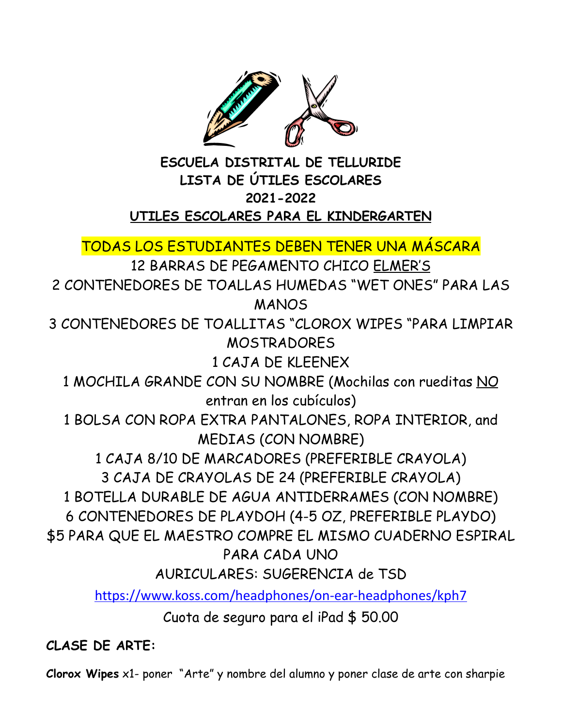

#### **ESCUELA DISTRITAL DE TELLURIDE LISTA DE ÚTILES ESCOLARES 2021-2022 UTILES ESCOLARES PARA EL KINDERGARTEN**

TODAS LOS ESTUDIANTES DEBEN TENER UNA MÁSCARA

12 BARRAS DE PEGAMENTO CHICO ELMER'S

2 CONTENEDORES DE TOALLAS HUMEDAS "WET ONES" PARA LAS MANOS

3 CONTENEDORES DE TOALLITAS "CLOROX WIPES "PARA LIMPIAR MOSTRADORES

1 CAJA DE KLEENEX

1 MOCHILA GRANDE CON SU NOMBRE (Mochilas con rueditas NO entran en los cubículos)

1 BOLSA CON ROPA EXTRA PANTALONES, ROPA INTERIOR, and MEDIAS (CON NOMBRE)

1 CAJA 8/10 DE MARCADORES (PREFERIBLE CRAYOLA)

3 CAJA DE CRAYOLAS DE 24 (PREFERIBLE CRAYOLA)

1 BOTELLA DURABLE DE AGUA ANTIDERRAMES (CON NOMBRE)

6 CONTENEDORES DE PLAYDOH (4-5 OZ, PREFERIBLE PLAYDO)

\$5 PARA QUE EL MAESTRO COMPRE EL MISMO CUADERNO ESPIRAL PARA CADA UNO

AURICULARES: SUGERENCIA de TSD

<https://www.koss.com/headphones/on-ear-headphones/kph7>

Cuota de seguro para el iPad \$ 50.00

## **CLASE DE ARTE:**

**Clorox Wipes** x1- poner "Arte" y nombre del alumno y poner clase de arte con sharpie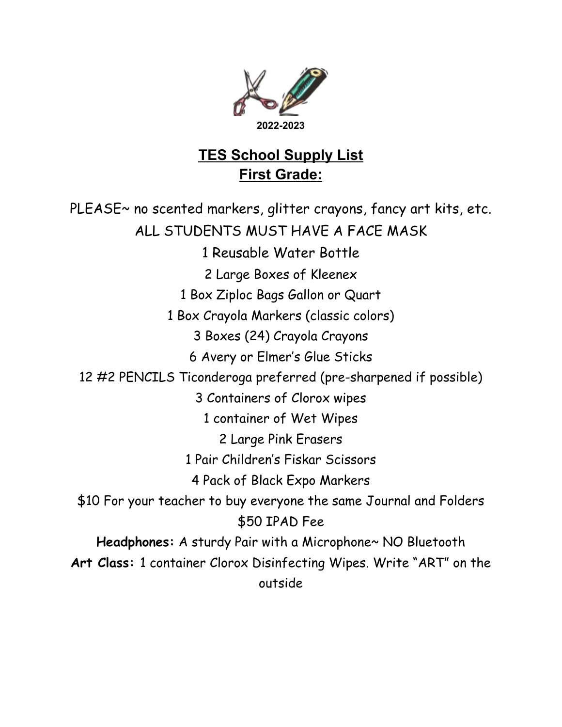

## **TES School Supply List First Grade:**

PLEASE~ no scented markers, glitter crayons, fancy art kits, etc. ALL STUDENTS MUST HAVE A FACE MASK 1 Reusable Water Bottle 2 Large Boxes of Kleenex 1 Box Ziploc Bags Gallon or Quart 1 Box Crayola Markers (classic colors) 3 Boxes (24) Crayola Crayons 6 Avery or Elmer's Glue Sticks 12 #2 PENCILS Ticonderoga preferred (pre-sharpened if possible) 3 Containers of Clorox wipes 1 container of Wet Wipes 2 Large Pink Erasers 1 Pair Children's Fiskar Scissors 4 Pack of Black Expo Markers \$10 For your teacher to buy everyone the same Journal and Folders \$50 IPAD Fee **Headphones:** A sturdy Pair with a Microphone~ NO Bluetooth **Art Class:** 1 container Clorox Disinfecting Wipes. Write "ART" on the outside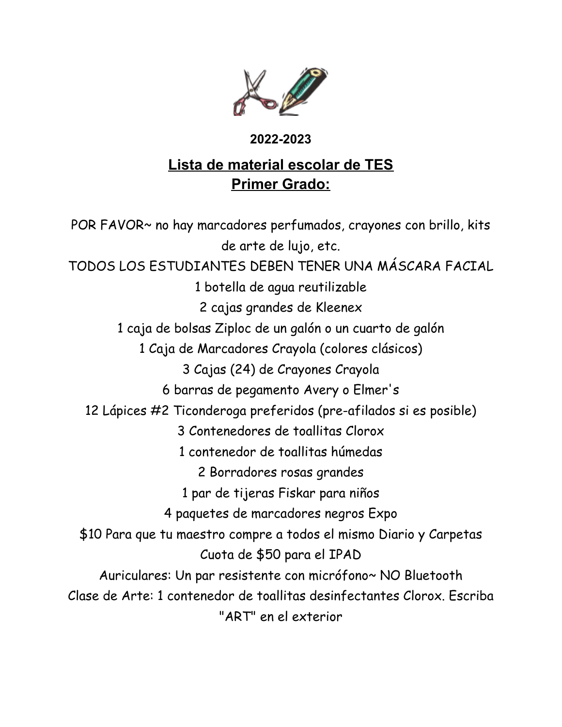

#### **2022-2023**

## **Lista de material escolar de TES Primer Grado:**

POR FAVOR~ no hay marcadores perfumados, crayones con brillo, kits de arte de lujo, etc. TODOS LOS ESTUDIANTES DEBEN TENER UNA MÁSCARA FACIAL 1 botella de agua reutilizable 2 cajas grandes de Kleenex 1 caja de bolsas Ziploc de un galón o un cuarto de galón 1 Caja de Marcadores Crayola (colores clásicos) 3 Cajas (24) de Crayones Crayola 6 barras de pegamento Avery o Elmer's 12 Lápices #2 Ticonderoga preferidos (pre-afilados si es posible) 3 Contenedores de toallitas Clorox 1 contenedor de toallitas húmedas 2 Borradores rosas grandes 1 par de tijeras Fiskar para niños 4 paquetes de marcadores negros Expo \$10 Para que tu maestro compre a todos el mismo Diario y Carpetas Cuota de \$50 para el IPAD Auriculares: Un par resistente con micrófono~ NO Bluetooth Clase de Arte: 1 contenedor de toallitas desinfectantes Clorox. Escriba "ART" en el exterior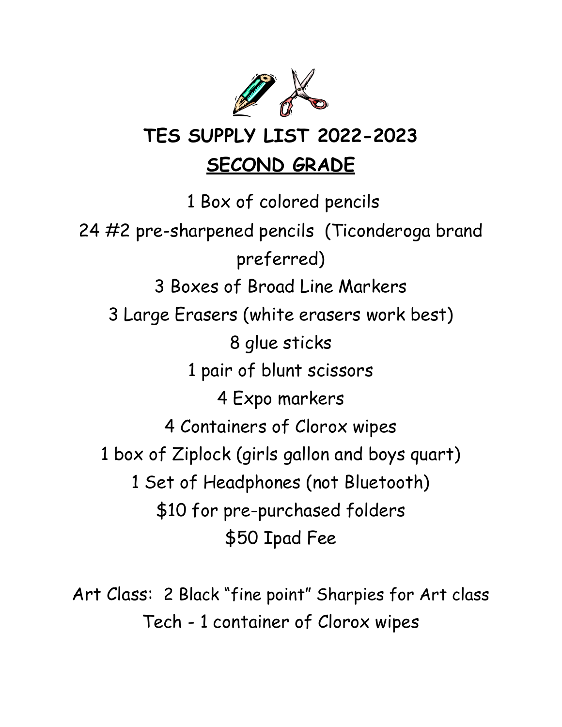

# **TES SUPPLY LIST 2022-2023 SECOND GRADE**

 Box of colored pencils #2 pre-sharpened pencils (Ticonderoga brand preferred) Boxes of Broad Line Markers Large Erasers (white erasers work best) glue sticks pair of blunt scissors Expo markers Containers of Clorox wipes box of Ziplock (girls gallon and boys quart) Set of Headphones (not Bluetooth) \$10 for pre-purchased folders \$50 Ipad Fee

Art Class: 2 Black "fine point" Sharpies for Art class Tech - 1 container of Clorox wipes